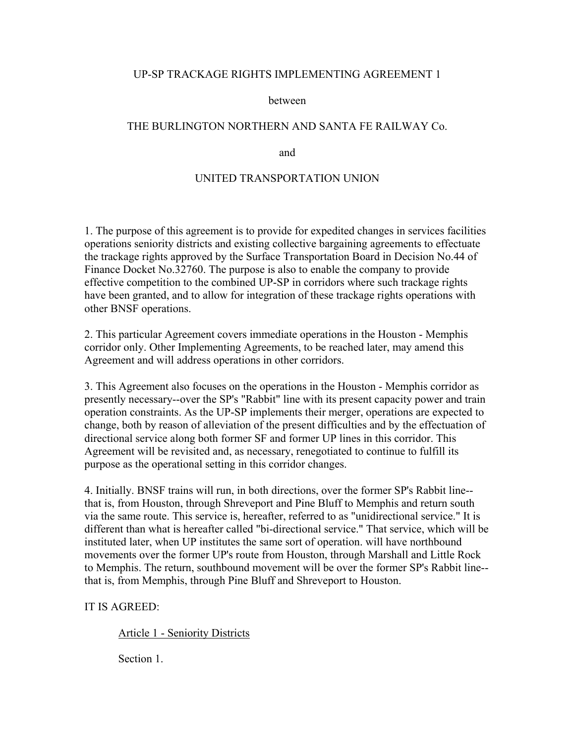#### UP-SP TRACKAGE RIGHTS IMPLEMENTING AGREEMENT 1

#### between

## THE BURLINGTON NORTHERN AND SANTA FE RAILWAY Co.

and

#### UNITED TRANSPORTATION UNION

1. The purpose of this agreement is to provide for expedited changes in services facilities operations seniority districts and existing collective bargaining agreements to effectuate the trackage rights approved by the Surface Transportation Board in Decision No.44 of Finance Docket No.32760. The purpose is also to enable the company to provide effective competition to the combined UP-SP in corridors where such trackage rights have been granted, and to allow for integration of these trackage rights operations with other BNSF operations.

2. This particular Agreement covers immediate operations in the Houston - Memphis corridor only. Other Implementing Agreements, to be reached later, may amend this Agreement and will address operations in other corridors.

3. This Agreement also focuses on the operations in the Houston - Memphis corridor as presently necessary--over the SP's "Rabbit" line with its present capacity power and train operation constraints. As the UP-SP implements their merger, operations are expected to change, both by reason of alleviation of the present difficulties and by the effectuation of directional service along both former SF and former UP lines in this corridor. This Agreement will be revisited and, as necessary, renegotiated to continue to fulfill its purpose as the operational setting in this corridor changes.

4. Initially. BNSF trains will run, in both directions, over the former SP's Rabbit line- that is, from Houston, through Shreveport and Pine Bluff to Memphis and return south via the same route. This service is, hereafter, referred to as "unidirectional service." It is different than what is hereafter called "bi-directional service." That service, which will be instituted later, when UP institutes the same sort of operation. will have northbound movements over the former UP's route from Houston, through Marshall and Little Rock to Memphis. The return, southbound movement will be over the former SP's Rabbit line- that is, from Memphis, through Pine Bluff and Shreveport to Houston.

#### IT IS AGREED:

Article 1 - Seniority Districts

Section 1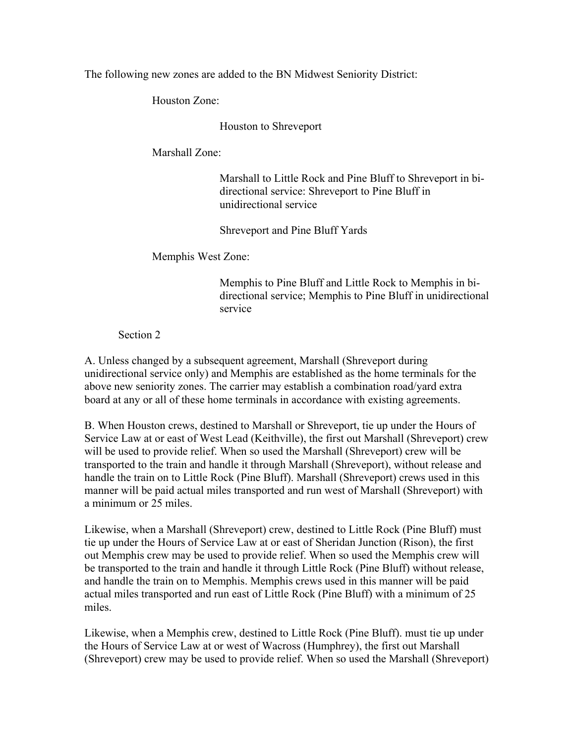The following new zones are added to the BN Midwest Seniority District:

Houston Zone:

Houston to Shreveport

Marshall Zone:

Marshall to Little Rock and Pine Bluff to Shreveport in bidirectional service: Shreveport to Pine Bluff in unidirectional service

Shreveport and Pine Bluff Yards

Memphis West Zone:

Memphis to Pine Bluff and Little Rock to Memphis in bidirectional service; Memphis to Pine Bluff in unidirectional service

Section 2

A. Unless changed by a subsequent agreement, Marshall (Shreveport during unidirectional service only) and Memphis are established as the home terminals for the above new seniority zones. The carrier may establish a combination road/yard extra board at any or all of these home terminals in accordance with existing agreements.

B. When Houston crews, destined to Marshall or Shreveport, tie up under the Hours of Service Law at or east of West Lead (Keithville), the first out Marshall (Shreveport) crew will be used to provide relief. When so used the Marshall (Shreveport) crew will be transported to the train and handle it through Marshall (Shreveport), without release and handle the train on to Little Rock (Pine Bluff). Marshall (Shreveport) crews used in this manner will be paid actual miles transported and run west of Marshall (Shreveport) with a minimum or 25 miles.

Likewise, when a Marshall (Shreveport) crew, destined to Little Rock (Pine Bluff) must tie up under the Hours of Service Law at or east of Sheridan Junction (Rison), the first out Memphis crew may be used to provide relief. When so used the Memphis crew will be transported to the train and handle it through Little Rock (Pine Bluff) without release, and handle the train on to Memphis. Memphis crews used in this manner will be paid actual miles transported and run east of Little Rock (Pine Bluff) with a minimum of 25 miles.

Likewise, when a Memphis crew, destined to Little Rock (Pine Bluff). must tie up under the Hours of Service Law at or west of Wacross (Humphrey), the first out Marshall (Shreveport) crew may be used to provide relief. When so used the Marshall (Shreveport)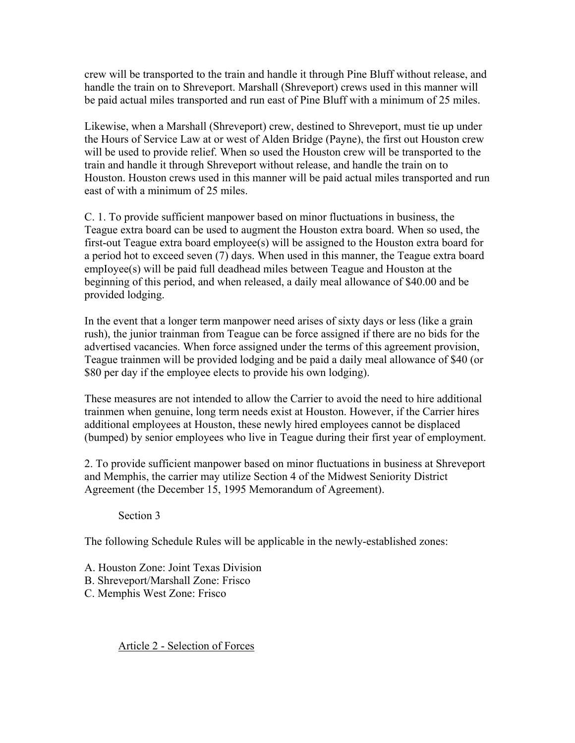crew will be transported to the train and handle it through Pine Bluff without release, and handle the train on to Shreveport. Marshall (Shreveport) crews used in this manner will be paid actual miles transported and run east of Pine Bluff with a minimum of 25 miles.

Likewise, when a Marshall (Shreveport) crew, destined to Shreveport, must tie up under the Hours of Service Law at or west of Alden Bridge (Payne), the first out Houston crew will be used to provide relief. When so used the Houston crew will be transported to the train and handle it through Shreveport without release, and handle the train on to Houston. Houston crews used in this manner will be paid actual miles transported and run east of with a minimum of 25 miles.

C. 1. To provide sufficient manpower based on minor fluctuations in business, the Teague extra board can be used to augment the Houston extra board. When so used, the first-out Teague extra board employee(s) will be assigned to the Houston extra board for a period hot to exceed seven (7) days. When used in this manner, the Teague extra board empIoyee(s) will be paid full deadhead miles between Teague and Houston at the beginning of this period, and when released, a daily meal allowance of \$40.00 and be provided lodging.

In the event that a longer term manpower need arises of sixty days or less (like a grain rush), the junior trainman from Teague can be force assigned if there are no bids for the advertised vacancies. When force assigned under the terms of this agreement provision, Teague trainmen will be provided lodging and be paid a daily meal allowance of \$40 (or \$80 per day if the employee elects to provide his own lodging).

These measures are not intended to allow the Carrier to avoid the need to hire additional trainmen when genuine, long term needs exist at Houston. However, if the Carrier hires additional employees at Houston, these newly hired employees cannot be displaced (bumped) by senior employees who live in Teague during their first year of employment.

2. To provide sufficient manpower based on minor fluctuations in business at Shreveport and Memphis, the carrier may utilize Section 4 of the Midwest Seniority District Agreement (the December 15, 1995 Memorandum of Agreement).

Section 3

The following Schedule Rules will be applicable in the newly-established zones:

A. Houston Zone: Joint Texas Division B. Shreveport/Marshall Zone: Frisco

C. Memphis West Zone: Frisco

Article 2 - Selection of Forces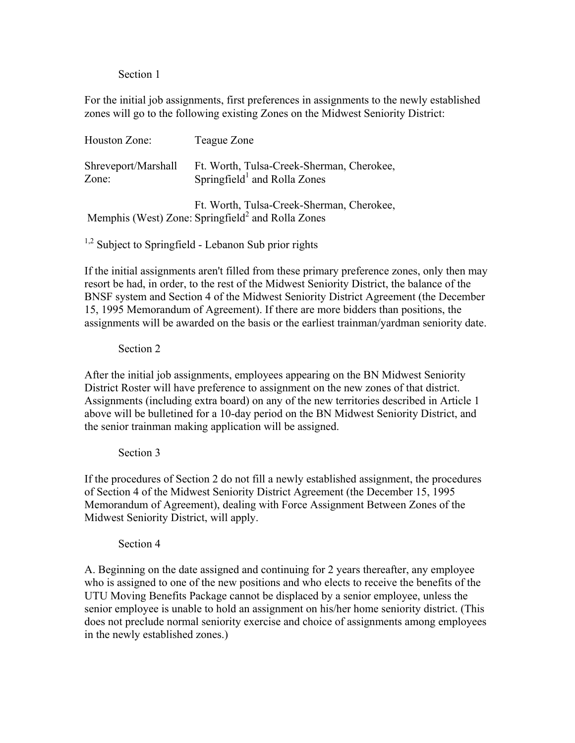Section 1

For the initial job assignments, first preferences in assignments to the newly established zones will go to the following existing Zones on the Midwest Seniority District:

| Houston Zone:                | Teague Zone                                                                                                |
|------------------------------|------------------------------------------------------------------------------------------------------------|
| Shreveport/Marshall<br>Zone: | Ft. Worth, Tulsa-Creek-Sherman, Cherokee,<br>Springfield <sup>1</sup> and Rolla Zones                      |
|                              | Ft. Worth, Tulsa-Creek-Sherman, Cherokee,<br>Memphis (West) Zone: Springfield <sup>2</sup> and Rolla Zones |

 $1,2$  Subject to Springfield - Lebanon Sub prior rights

If the initial assignments aren't filled from these primary preference zones, only then may resort be had, in order, to the rest of the Midwest Seniority District, the balance of the BNSF system and Section 4 of the Midwest Seniority District Agreement (the December 15, 1995 Memorandum of Agreement). If there are more bidders than positions, the assignments will be awarded on the basis or the earliest trainman/yardman seniority date.

## Section 2

After the initial job assignments, employees appearing on the BN Midwest Seniority District Roster will have preference to assignment on the new zones of that district. Assignments (including extra board) on any of the new territories described in Article 1 above will be bulletined for a 10-day period on the BN Midwest Seniority District, and the senior trainman making application will be assigned.

#### Section 3

If the procedures of Section 2 do not fill a newly established assignment, the procedures of Section 4 of the Midwest Seniority District Agreement (the December 15, 1995 Memorandum of Agreement), dealing with Force Assignment Between Zones of the Midwest Seniority District, will apply.

#### Section 4

A. Beginning on the date assigned and continuing for 2 years thereafter, any employee who is assigned to one of the new positions and who elects to receive the benefits of the UTU Moving Benefits Package cannot be displaced by a senior employee, unless the senior employee is unable to hold an assignment on his/her home seniority district. (This does not preclude normal seniority exercise and choice of assignments among employees in the newly established zones.)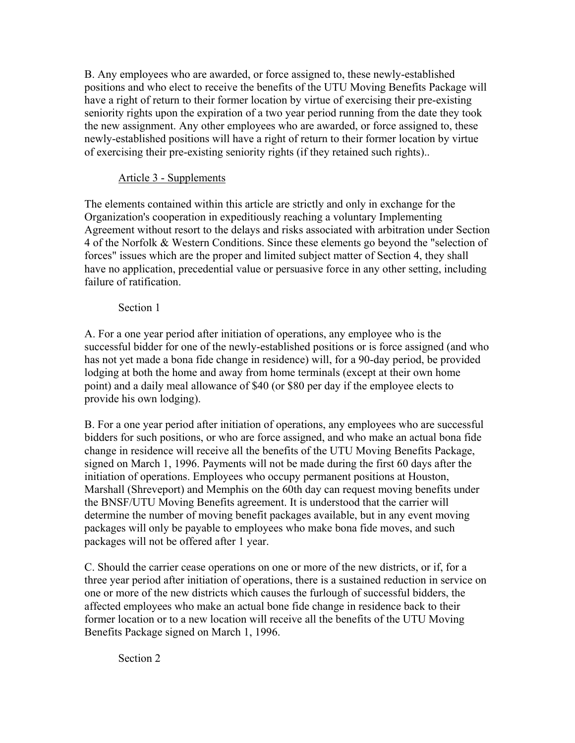B. Any employees who are awarded, or force assigned to, these newly-established positions and who elect to receive the benefits of the UTU Moving Benefits Package will have a right of return to their former location by virtue of exercising their pre-existing seniority rights upon the expiration of a two year period running from the date they took the new assignment. Any other employees who are awarded, or force assigned to, these newly-established positions will have a right of return to their former location by virtue of exercising their pre-existing seniority rights (if they retained such rights)..

# Article 3 - Supplements

The elements contained within this article are strictly and only in exchange for the Organization's cooperation in expeditiously reaching a voluntary Implementing Agreement without resort to the delays and risks associated with arbitration under Section 4 of the Norfolk & Western Conditions. Since these elements go beyond the "selection of forces" issues which are the proper and limited subject matter of Section 4, they shall have no application, precedential value or persuasive force in any other setting, including failure of ratification.

## Section 1

A. For a one year period after initiation of operations, any employee who is the successful bidder for one of the newly-established positions or is force assigned (and who has not yet made a bona fide change in residence) will, for a 90-day period, be provided lodging at both the home and away from home terminals (except at their own home point) and a daily meal allowance of \$40 (or \$80 per day if the employee elects to provide his own lodging).

B. For a one year period after initiation of operations, any employees who are successful bidders for such positions, or who are force assigned, and who make an actual bona fide change in residence will receive all the benefits of the UTU Moving Benefits Package, signed on March 1, 1996. Payments will not be made during the first 60 days after the initiation of operations. Employees who occupy permanent positions at Houston, Marshall (Shreveport) and Memphis on the 60th day can request moving benefits under the BNSF/UTU Moving Benefits agreement. It is understood that the carrier will determine the number of moving benefit packages available, but in any event moving packages will only be payable to employees who make bona fide moves, and such packages will not be offered after 1 year.

C. Should the carrier cease operations on one or more of the new districts, or if, for a three year period after initiation of operations, there is a sustained reduction in service on one or more of the new districts which causes the furlough of successful bidders, the affected employees who make an actual bone fide change in residence back to their former location or to a new location will receive all the benefits of the UTU Moving Benefits Package signed on March 1, 1996.

Section 2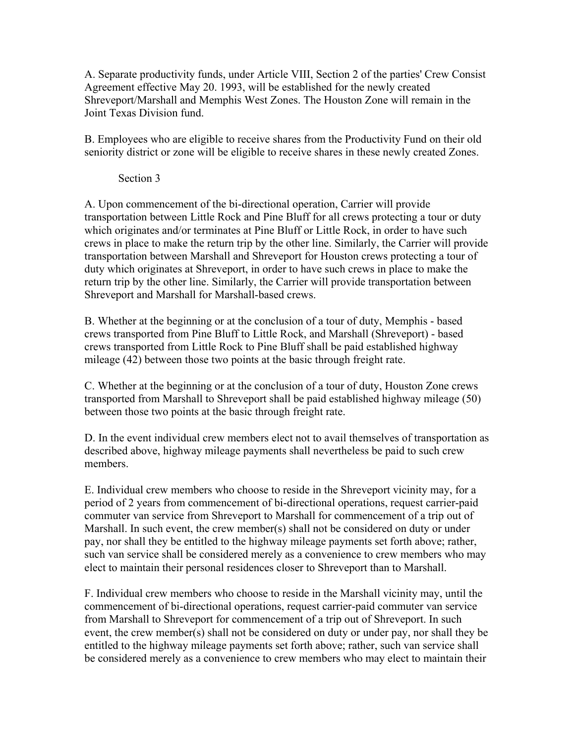A. Separate productivity funds, under Article VIII, Section 2 of the parties' Crew Consist Agreement effective May 20. 1993, will be established for the newly created Shreveport/Marshall and Memphis West Zones. The Houston Zone will remain in the Joint Texas Division fund.

B. Employees who are eligible to receive shares from the Productivity Fund on their old seniority district or zone will be eligible to receive shares in these newly created Zones.

## Section 3

A. Upon commencement of the bi-directional operation, Carrier will provide transportation between Little Rock and Pine Bluff for all crews protecting a tour or duty which originates and/or terminates at Pine Bluff or Little Rock, in order to have such crews in place to make the return trip by the other line. Similarly, the Carrier will provide transportation between Marshall and Shreveport for Houston crews protecting a tour of duty which originates at Shreveport, in order to have such crews in place to make the return trip by the other line. Similarly, the Carrier will provide transportation between Shreveport and Marshall for Marshall-based crews.

B. Whether at the beginning or at the conclusion of a tour of duty, Memphis - based crews transported from Pine Bluff to Little Rock, and Marshall (Shreveport) - based crews transported from Little Rock to Pine Bluff shall be paid established highway mileage (42) between those two points at the basic through freight rate.

C. Whether at the beginning or at the conclusion of a tour of duty, Houston Zone crews transported from Marshall to Shreveport shall be paid established highway mileage (50) between those two points at the basic through freight rate.

D. In the event individual crew members elect not to avail themselves of transportation as described above, highway mileage payments shall nevertheless be paid to such crew members.

E. Individual crew members who choose to reside in the Shreveport vicinity may, for a period of 2 years from commencement of bi-directional operations, request carrier-paid commuter van service from Shreveport to Marshall for commencement of a trip out of Marshall. In such event, the crew member(s) shall not be considered on duty or under pay, nor shall they be entitled to the highway mileage payments set forth above; rather, such van service shall be considered merely as a convenience to crew members who may elect to maintain their personal residences closer to Shreveport than to Marshall.

F. Individual crew members who choose to reside in the Marshall vicinity may, until the commencement of bi-directional operations, request carrier-paid commuter van service from Marshall to Shreveport for commencement of a trip out of Shreveport. In such event, the crew member(s) shall not be considered on duty or under pay, nor shall they be entitled to the highway mileage payments set forth above; rather, such van service shall be considered merely as a convenience to crew members who may elect to maintain their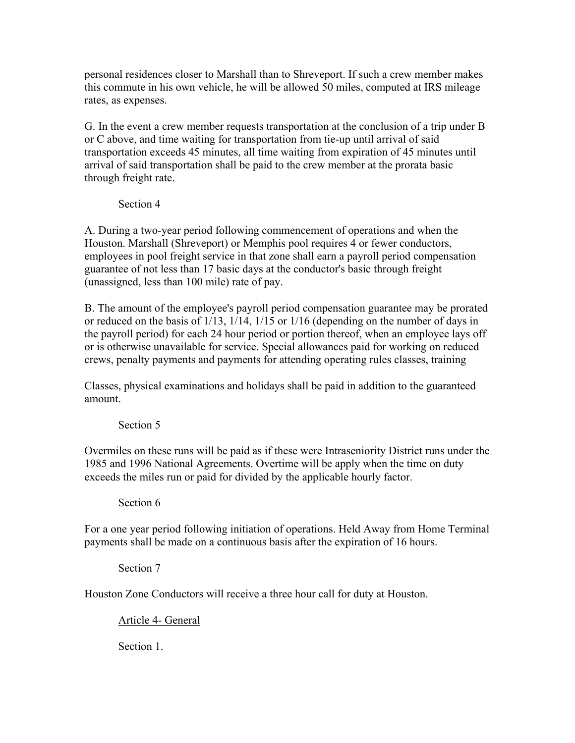personal residences closer to Marshall than to Shreveport. If such a crew member makes this commute in his own vehicle, he will be allowed 50 miles, computed at IRS mileage rates, as expenses.

G. In the event a crew member requests transportation at the conclusion of a trip under B or C above, and time waiting for transportation from tie-up until arrival of said transportation exceeds 45 minutes, all time waiting from expiration of 45 minutes until arrival of said transportation shall be paid to the crew member at the prorata basic through freight rate.

Section 4

A. During a two-year period following commencement of operations and when the Houston. Marshall (Shreveport) or Memphis pool requires 4 or fewer conductors, employees in pool freight service in that zone shall earn a payroll period compensation guarantee of not less than 17 basic days at the conductor's basic through freight (unassigned, less than 100 mile) rate of pay.

B. The amount of the employee's payroll period compensation guarantee may be prorated or reduced on the basis of 1/13, 1/14, 1/15 or 1/16 (depending on the number of days in the payroll period) for each 24 hour period or portion thereof, when an employee lays off or is otherwise unavailable for service. Special allowances paid for working on reduced crews, penalty payments and payments for attending operating rules classes, training

Classes, physical examinations and holidays shall be paid in addition to the guaranteed amount.

Section 5

Overmiles on these runs will be paid as if these were Intraseniority District runs under the 1985 and 1996 National Agreements. Overtime will be apply when the time on duty exceeds the miles run or paid for divided by the applicable hourly factor.

Section 6

For a one year period following initiation of operations. Held Away from Home Terminal payments shall be made on a continuous basis after the expiration of 16 hours.

Section 7

Houston Zone Conductors will receive a three hour call for duty at Houston.

Article 4- General

Section 1.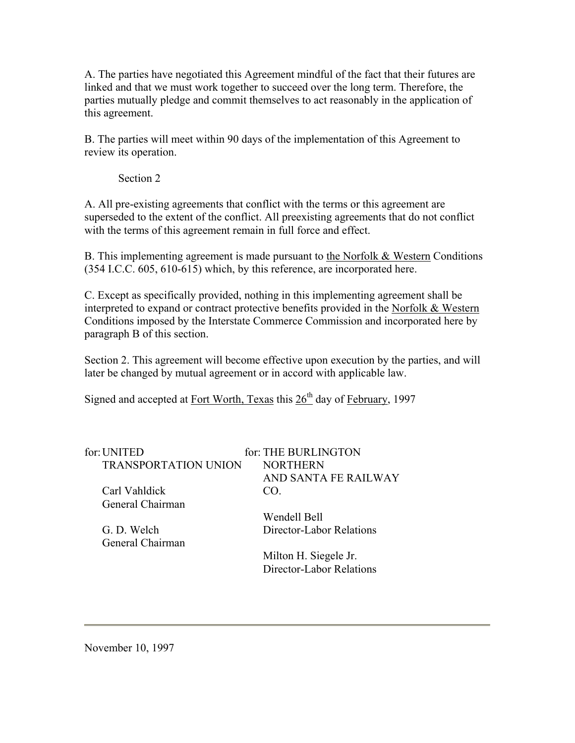A. The parties have negotiated this Agreement mindful of the fact that their futures are linked and that we must work together to succeed over the long term. Therefore, the parties mutually pledge and commit themselves to act reasonably in the application of this agreement.

B. The parties will meet within 90 days of the implementation of this Agreement to review its operation.

Section 2

A. All pre-existing agreements that conflict with the terms or this agreement are superseded to the extent of the conflict. All preexisting agreements that do not conflict with the terms of this agreement remain in full force and effect.

B. This implementing agreement is made pursuant to the Norfolk & Western Conditions (354 I.C.C. 605, 610-615) which, by this reference, are incorporated here.

C. Except as specifically provided, nothing in this implementing agreement shall be interpreted to expand or contract protective benefits provided in the Norfolk & Western Conditions imposed by the Interstate Commerce Commission and incorporated here by paragraph B of this section.

Section 2. This agreement will become effective upon execution by the parties, and will later be changed by mutual agreement or in accord with applicable law.

Signed and accepted at Fort Worth, Texas this  $26<sup>th</sup>$  day of February, 1997

| for: UNITED                 | for: THE BURLINGTON      |
|-----------------------------|--------------------------|
| <b>TRANSPORTATION UNION</b> | <b>NORTHERN</b>          |
|                             | AND SANTA FE RAILWAY     |
| Carl Vahldick               | CO.                      |
| General Chairman            |                          |
|                             | Wendell Bell             |
| G. D. Welch                 | Director-Labor Relations |
| General Chairman            |                          |

Milton H. Siegele Jr. Director-Labor Relations

November 10, 1997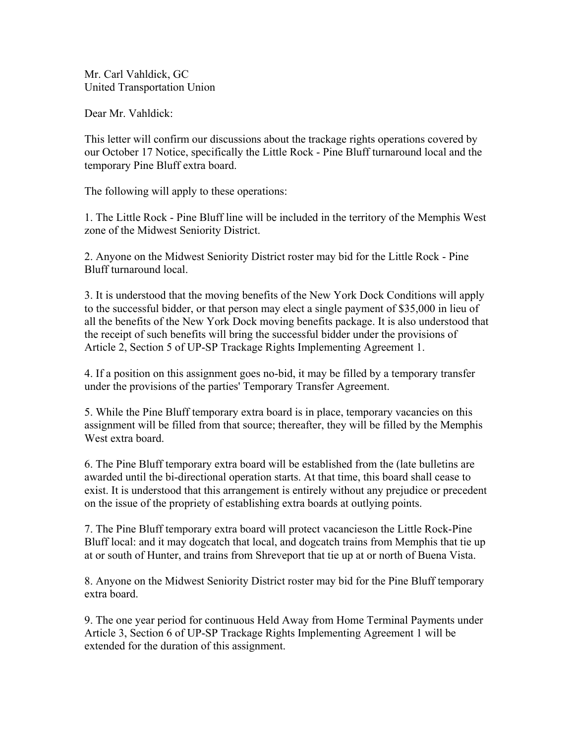Mr. Carl Vahldick, GC United Transportation Union

Dear Mr. Vahldick:

This letter will confirm our discussions about the trackage rights operations covered by our October 17 Notice, specifically the Little Rock - Pine Bluff turnaround local and the temporary Pine Bluff extra board.

The following will apply to these operations:

1. The Little Rock - Pine Bluff line will be included in the territory of the Memphis West zone of the Midwest Seniority District.

2. Anyone on the Midwest Seniority District roster may bid for the Little Rock - Pine Bluff turnaround local.

3. It is understood that the moving benefits of the New York Dock Conditions will apply to the successful bidder, or that person may elect a single payment of \$35,000 in lieu of all the benefits of the New York Dock moving benefits package. It is also understood that the receipt of such benefits will bring the successful bidder under the provisions of Article 2, Section 5 of UP-SP Trackage Rights Implementing Agreement 1.

4. If a position on this assignment goes no-bid, it may be filled by a temporary transfer under the provisions of the parties' Temporary Transfer Agreement.

5. While the Pine Bluff temporary extra board is in place, temporary vacancies on this assignment will be filled from that source; thereafter, they will be filled by the Memphis West extra board.

6. The Pine Bluff temporary extra board will be established from the (late bulletins are awarded until the bi-directional operation starts. At that time, this board shall cease to exist. It is understood that this arrangement is entirely without any prejudice or precedent on the issue of the propriety of establishing extra boards at outlying points.

7. The Pine Bluff temporary extra board will protect vacancieson the Little Rock-Pine Bluff local: and it may dogcatch that local, and dogcatch trains from Memphis that tie up at or south of Hunter, and trains from Shreveport that tie up at or north of Buena Vista.

8. Anyone on the Midwest Seniority District roster may bid for the Pine Bluff temporary extra board.

9. The one year period for continuous Held Away from Home Terminal Payments under Article 3, Section 6 of UP-SP Trackage Rights Implementing Agreement 1 will be extended for the duration of this assignment.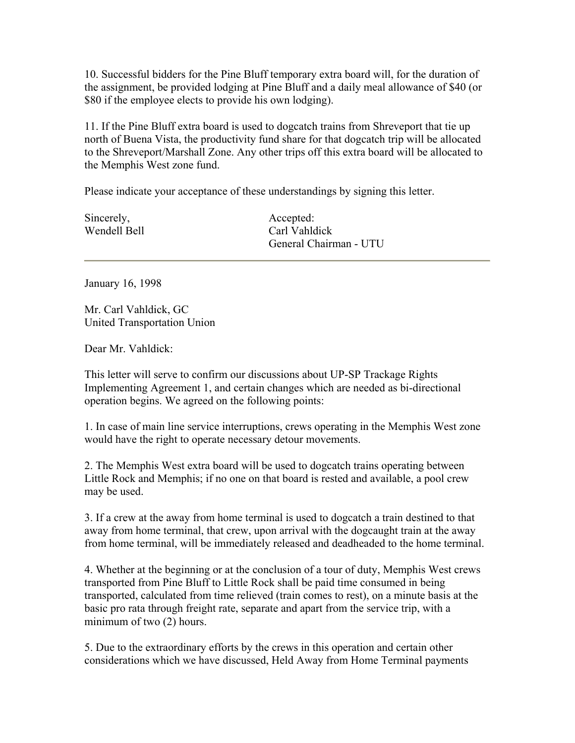10. Successful bidders for the Pine Bluff temporary extra board will, for the duration of the assignment, be provided lodging at Pine Bluff and a daily meal allowance of \$40 (or \$80 if the employee elects to provide his own lodging).

11. If the Pine Bluff extra board is used to dogcatch trains from Shreveport that tie up north of Buena Vista, the productivity fund share for that dogcatch trip will be allocated to the Shreveport/Marshall Zone. Any other trips off this extra board will be allocated to the Memphis West zone fund.

Please indicate your acceptance of these understandings by signing this letter.

Sincerely, Wendell Bell Accepted: Carl Vahldick General Chairman - UTU

January 16, 1998

Mr. Carl Vahldick, GC United Transportation Union

Dear Mr. Vahldick:

This letter will serve to confirm our discussions about UP-SP Trackage Rights Implementing Agreement 1, and certain changes which are needed as bi-directional operation begins. We agreed on the following points:

1. In case of main line service interruptions, crews operating in the Memphis West zone would have the right to operate necessary detour movements.

2. The Memphis West extra board will be used to dogcatch trains operating between Little Rock and Memphis; if no one on that board is rested and available, a pool crew may be used.

3. If a crew at the away from home terminal is used to dogcatch a train destined to that away from home terminal, that crew, upon arrival with the dogcaught train at the away from home terminal, will be immediately released and deadheaded to the home terminal.

4. Whether at the beginning or at the conclusion of a tour of duty, Memphis West crews transported from Pine Bluff to Little Rock shall be paid time consumed in being transported, calculated from time relieved (train comes to rest), on a minute basis at the basic pro rata through freight rate, separate and apart from the service trip, with a minimum of two (2) hours.

5. Due to the extraordinary efforts by the crews in this operation and certain other considerations which we have discussed, Held Away from Home Terminal payments